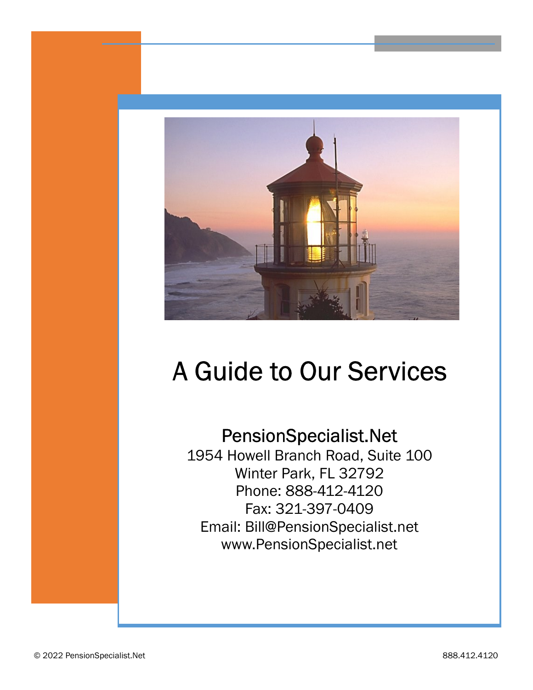

# A Guide to Our Services

# PensionSpecialist.Net

1954 Howell Branch Road, Suite 100 Winter Park, FL 32792 Phone: 888-412-4120 Fax: 321-397-0409 Email: Bill@PensionSpecialist.net www.PensionSpecialist.net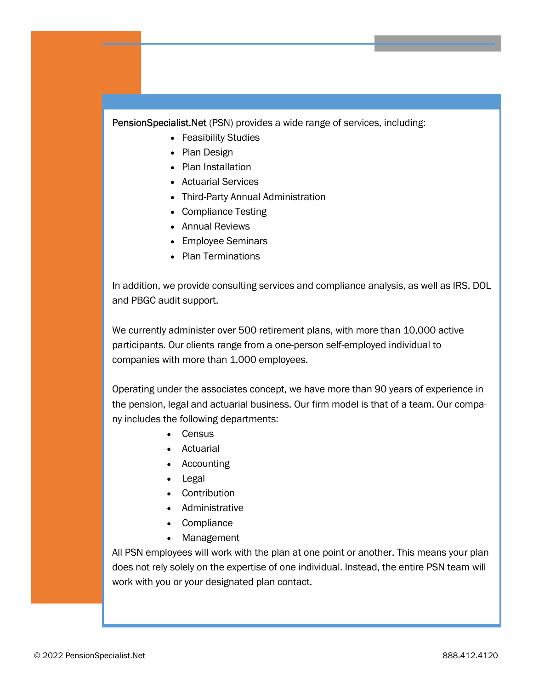PensionSpecialist.Net (PSN) provides a wide range of services, including:

- · Feasibility Studies
- · Plan Design
- · Plan Installation
- · Actuarial Services
- · Third-Party Annual Administration
- · Compliance Testing
- · Annual Reviews
- · Employee Seminars
- · Plan Terminations

In addition, we provide consulting services and compliance analysis, as well as IRS, DOL and PBGC audit support.

We currently administer over 500 retirement plans, with more than 10,000 active participants. Our clients range from a one-person self-employed individual to companies with more than 1,000 employees.

Operating under the associates concept, we have more than 90 years of experience in the pension, legal and actuarial business. Our firm model is that of a team. Our company includes the following departments:

- · Census
- · Actuarial
- Accounting
- · Legal
- · Contribution
- · Administrative
- · Compliance
- · Management

All PSN employees will work with the plan at one point or another. This means your plan does not rely solely on the expertise of one individual. Instead, the entire PSN team will work with you or your designated plan contact.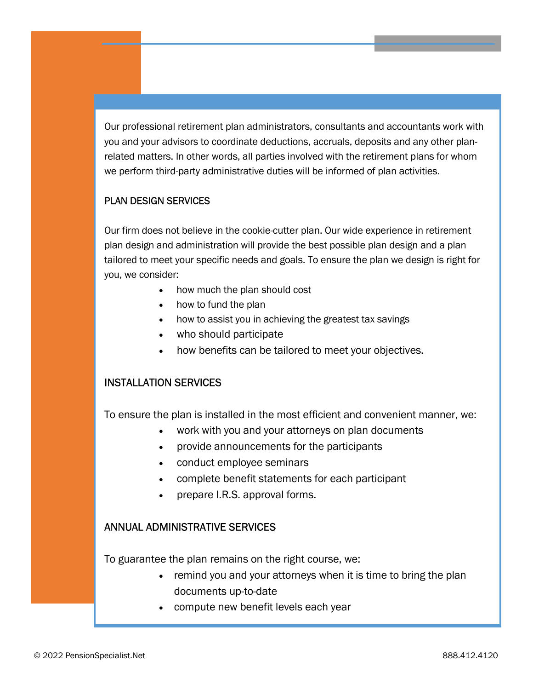Our professional retirement plan administrators, consultants and accountants work with you and your advisors to coordinate deductions, accruals, deposits and any other planrelated matters. In other words, all parties involved with the retirement plans for whom we perform third-party administrative duties will be informed of plan activities.

# PLAN DESIGN SERVICES

Our firm does not believe in the cookie-cutter plan. Our wide experience in retirement plan design and administration will provide the best possible plan design and a plan tailored to meet your specific needs and goals. To ensure the plan we design is right for you, we consider:

- how much the plan should cost
- · how to fund the plan
- · how to assist you in achieving the greatest tax savings
- · who should participate
- how benefits can be tailored to meet your objectives.

## INSTALLATION SERVICES

To ensure the plan is installed in the most efficient and convenient manner, we:

- work with you and your attorneys on plan documents
- provide announcements for the participants
- · conduct employee seminars
- complete benefit statements for each participant
- prepare I.R.S. approval forms.

#### ANNUAL ADMINISTRATIVE SERVICES

To guarantee the plan remains on the right course, we:

- · remind you and your attorneys when it is time to bring the plan documents up-to-date
- · compute new benefit levels each year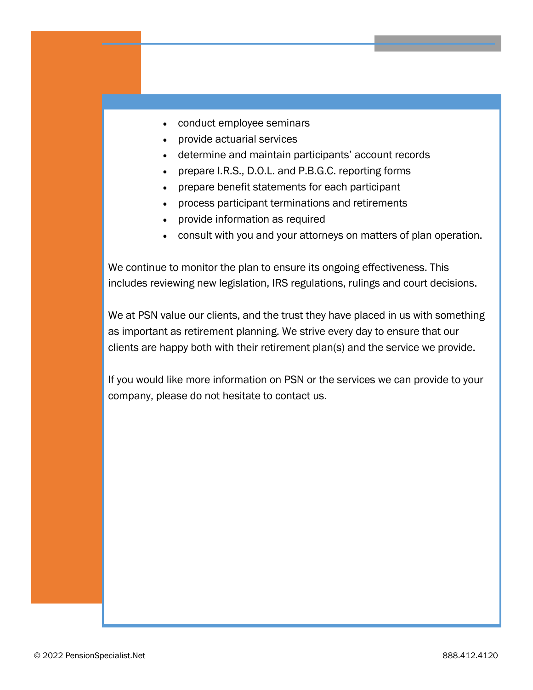- · conduct employee seminars
- · provide actuarial services
- · determine and maintain participants' account records
- · prepare I.R.S., D.O.L. and P.B.G.C. reporting forms
- · prepare benefit statements for each participant
- · process participant terminations and retirements
- · provide information as required
- · consult with you and your attorneys on matters of plan operation.

We continue to monitor the plan to ensure its ongoing effectiveness. This includes reviewing new legislation, IRS regulations, rulings and court decisions.

We at PSN value our clients, and the trust they have placed in us with something as important as retirement planning. We strive every day to ensure that our clients are happy both with their retirement plan(s) and the service we provide.

If you would like more information on PSN or the services we can provide to your company, please do not hesitate to contact us.